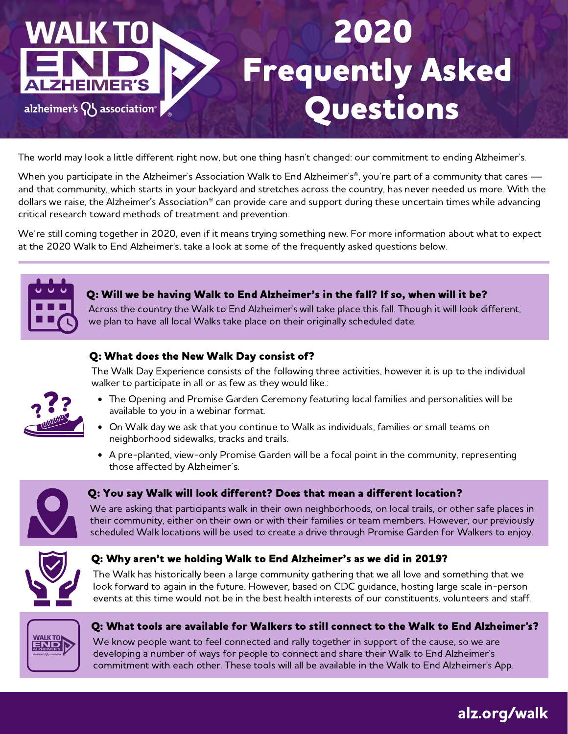# 2020 Frequently Asked **MER'S** Questionsalzheimer's  $\{ \}$  association<sup>®</sup>

The world may look a little different right now, but one thing hasn't changed: our commitment to ending Alzheimer's.

When you participate in the Alzheimer's Association Walk to End Alzheimer's®, you're part of a community that cares and that community, which starts in your backyard and stretches across the country, has never needed us more. With the dollars we raise, the Alzheimer's Association<sup>®</sup> can provide care and support during these uncertain times while advancing critical research toward methods of treatment and prevention.

We're still coming together in 2020, even if it means trying something new. For more information about what to expect at the 2020 Walk to End Alzheimer's, take a look at some of the frequently asked questions below.



# Q: Will we be having Walk to End Alzheimer's in the fall? If so, when will it be?

Across the country the Walk to End Alzheimer's will take place this fall. Though it will look different, we plan to have all local Walks take place on their originally scheduled date.



# Q: What does the New Walk Day consist of?

The Walk Day Experience consists of the following three activities, however it is up to the individual walker to participate in all or as few as they would like.:

- The Opening and Promise Garden Ceremony featuring local families and personalities will be available to you in a webinar format.
- On Walk day we ask that you continue to Walk as individuals, families or small teams on  $\bullet$ neighborhood sidewalks, tracks and trails.
- A pre-planted, view-only Promise Garden will be a focal point in the community, representing those affected by Alzheimer's.



# Q: You say Walk will look different? Does that mean a different location?

We are asking that participants walk in their own neighborhoods, on local trails, or other safe places in their community, either on their own or with their families or team members. However, our previously scheduled Walk locations will be used to create a drive through Promise Garden for Walkers to enjoy.



# Q: Why aren't we holding Walk to End Alzheimer's as we did in 2019?

The Walk has historically been a large community gathering that we all love and something that we look forward to again in the future. However, based on CDC guidance, hosting large scale in-person events at this time would not be in the best health interests of our constituents, volunteers and staff.



# Q: What tools are available for Walkers to still connect to the Walk to End Alzheimer's?

We know people want to feel connected and rally together in support of the cause, so we are developing a number of ways for people to connect and share their Walk to End Alzheimer's commitment with each other. These tools will all be available in the Walk to End Alzheimer's App.